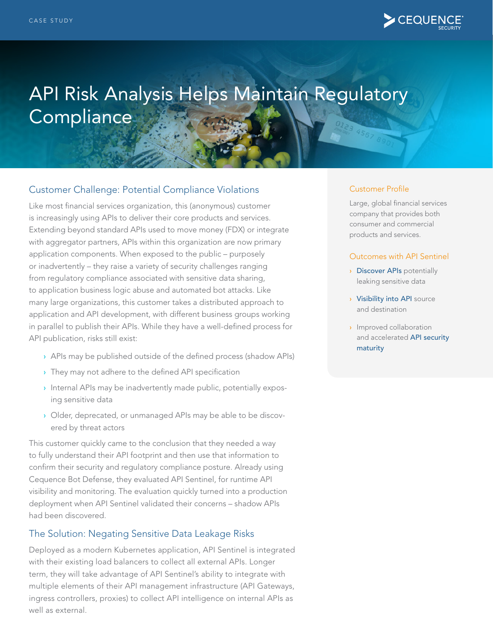

# API Risk Analysis Helps Maintain Regulatory **Compliance**

## Customer Challenge: Potential Compliance Violations

Like most financial services organization, this (anonymous) customer is increasingly using APIs to deliver their core products and services. Extending beyond standard APIs used to move money (FDX) or integrate with aggregator partners, APIs within this organization are now primary application components. When exposed to the public – purposely or inadvertently – they raise a variety of security challenges ranging from regulatory compliance associated with sensitive data sharing, to application business logic abuse and automated bot attacks. Like many large organizations, this customer takes a distributed approach to application and API development, with different business groups working in parallel to publish their APIs. While they have a well-defined process for API publication, risks still exist:

- › APIs may be published outside of the defined process (shadow APIs)
- › They may not adhere to the defined API specification
- › Internal APIs may be inadvertently made public, potentially exposing sensitive data
- › Older, deprecated, or unmanaged APIs may be able to be discovered by threat actors

This customer quickly came to the conclusion that they needed a way to fully understand their API footprint and then use that information to confirm their security and regulatory compliance posture. Already using Cequence Bot Defense, they evaluated API Sentinel, for runtime API visibility and monitoring. The evaluation quickly turned into a production deployment when API Sentinel validated their concerns – shadow APIs had been discovered.

### The Solution: Negating Sensitive Data Leakage Risks

Deployed as a modern Kubernetes application, API Sentinel is integrated with their existing load balancers to collect all external APIs. Longer term, they will take advantage of API Sentinel's ability to integrate with multiple elements of their API management infrastructure (API Gateways, ingress controllers, proxies) to collect API intelligence on internal APIs as well as external.

#### Customer Profile

Large, global financial services company that provides both consumer and commercial products and services.

#### Outcomes with API Sentinel

- › Discover APIs potentially leaking sensitive data
- › Visibility into API source and destination
- › Improved collaboration and accelerated API security maturity